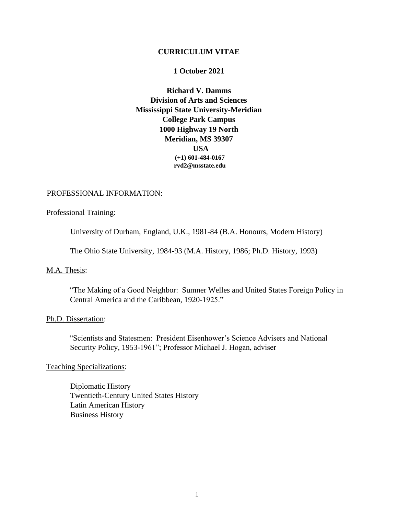### **CURRICULUM VITAE**

### **1 October 2021**

**Richard V. Damms Division of Arts and Sciences Mississippi State University-Meridian College Park Campus 1000 Highway 19 North Meridian, MS 39307 USA (+1) 601-484-0167 rvd2@msstate.edu**

## PROFESSIONAL INFORMATION:

### Professional Training:

University of Durham, England, U.K., 1981-84 (B.A. Honours, Modern History)

The Ohio State University, 1984-93 (M.A. History, 1986; Ph.D. History, 1993)

## M.A. Thesis:

"The Making of a Good Neighbor: Sumner Welles and United States Foreign Policy in Central America and the Caribbean, 1920-1925."

#### Ph.D. Dissertation:

"Scientists and Statesmen: President Eisenhower's Science Advisers and National Security Policy, 1953-1961"; Professor Michael J. Hogan, adviser

### Teaching Specializations:

Diplomatic History Twentieth-Century United States History Latin American History Business History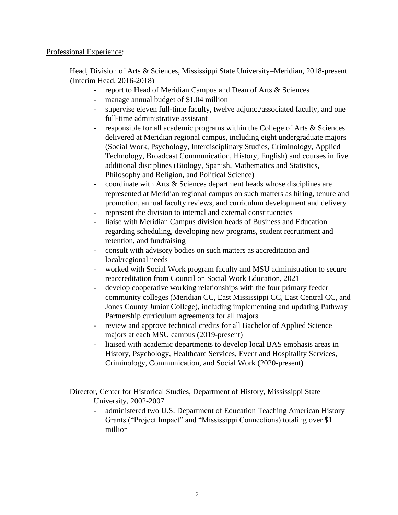## Professional Experience:

Head, Division of Arts & Sciences, Mississippi State University–Meridian, 2018-present (Interim Head, 2016-2018)

- report to Head of Meridian Campus and Dean of Arts & Sciences
- manage annual budget of \$1.04 million
- supervise eleven full-time faculty, twelve adjunct/associated faculty, and one full-time administrative assistant
- responsible for all academic programs within the College of Arts & Sciences delivered at Meridian regional campus, including eight undergraduate majors (Social Work, Psychology, Interdisciplinary Studies, Criminology, Applied Technology, Broadcast Communication, History, English) and courses in five additional disciplines (Biology, Spanish, Mathematics and Statistics, Philosophy and Religion, and Political Science)
- coordinate with Arts & Sciences department heads whose disciplines are represented at Meridian regional campus on such matters as hiring, tenure and promotion, annual faculty reviews, and curriculum development and delivery
- represent the division to internal and external constituencies
- liaise with Meridian Campus division heads of Business and Education regarding scheduling, developing new programs, student recruitment and retention, and fundraising
- consult with advisory bodies on such matters as accreditation and local/regional needs
- worked with Social Work program faculty and MSU administration to secure reaccreditation from Council on Social Work Education, 2021
- develop cooperative working relationships with the four primary feeder community colleges (Meridian CC, East Mississippi CC, East Central CC, and Jones County Junior College), including implementing and updating Pathway Partnership curriculum agreements for all majors
- review and approve technical credits for all Bachelor of Applied Science majors at each MSU campus (2019-present)
- liaised with academic departments to develop local BAS emphasis areas in History, Psychology, Healthcare Services, Event and Hospitality Services, Criminology, Communication, and Social Work (2020-present)

Director, Center for Historical Studies, Department of History, Mississippi State University, 2002-2007

- administered two U.S. Department of Education Teaching American History Grants ("Project Impact" and "Mississippi Connections) totaling over \$1 million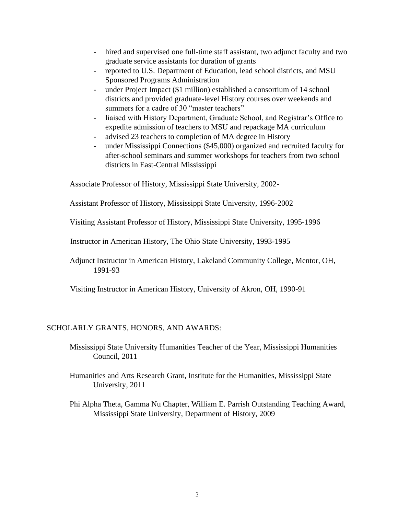- hired and supervised one full-time staff assistant, two adjunct faculty and two graduate service assistants for duration of grants
- reported to U.S. Department of Education, lead school districts, and MSU Sponsored Programs Administration
- under Project Impact (\$1 million) established a consortium of 14 school districts and provided graduate-level History courses over weekends and summers for a cadre of 30 "master teachers"
- liaised with History Department, Graduate School, and Registrar's Office to expedite admission of teachers to MSU and repackage MA curriculum
- advised 23 teachers to completion of MA degree in History
- under Mississippi Connections (\$45,000) organized and recruited faculty for after-school seminars and summer workshops for teachers from two school districts in East-Central Mississippi

Associate Professor of History, Mississippi State University, 2002-

Assistant Professor of History, Mississippi State University, 1996-2002

Visiting Assistant Professor of History, Mississippi State University, 1995-1996

Instructor in American History, The Ohio State University, 1993-1995

Adjunct Instructor in American History, Lakeland Community College, Mentor, OH, 1991-93

Visiting Instructor in American History, University of Akron, OH, 1990-91

# SCHOLARLY GRANTS, HONORS, AND AWARDS:

Mississippi State University Humanities Teacher of the Year, Mississippi Humanities Council, 2011

- Humanities and Arts Research Grant, Institute for the Humanities, Mississippi State University, 2011
- Phi Alpha Theta, Gamma Nu Chapter, William E. Parrish Outstanding Teaching Award, Mississippi State University, Department of History, 2009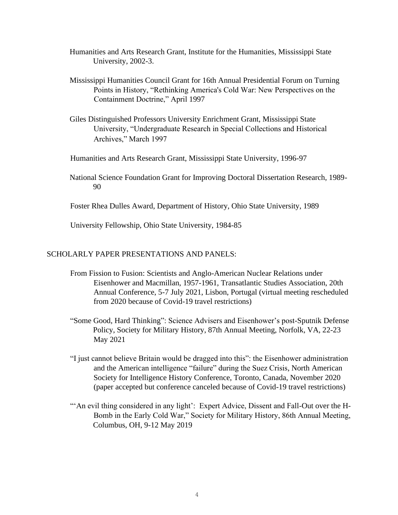- Humanities and Arts Research Grant, Institute for the Humanities, Mississippi State University, 2002-3.
- Mississippi Humanities Council Grant for 16th Annual Presidential Forum on Turning Points in History, "Rethinking America's Cold War: New Perspectives on the Containment Doctrine," April 1997
- Giles Distinguished Professors University Enrichment Grant, Mississippi State University, "Undergraduate Research in Special Collections and Historical Archives," March 1997
- Humanities and Arts Research Grant, Mississippi State University, 1996-97
- National Science Foundation Grant for Improving Doctoral Dissertation Research, 1989- 90
- Foster Rhea Dulles Award, Department of History, Ohio State University, 1989

University Fellowship, Ohio State University, 1984-85

### SCHOLARLY PAPER PRESENTATIONS AND PANELS:

- From Fission to Fusion: Scientists and Anglo-American Nuclear Relations under Eisenhower and Macmillan, 1957-1961, Transatlantic Studies Association, 20th Annual Conference, 5-7 July 2021, Lisbon, Portugal (virtual meeting rescheduled from 2020 because of Covid-19 travel restrictions)
- "Some Good, Hard Thinking": Science Advisers and Eisenhower's post-Sputnik Defense Policy, Society for Military History, 87th Annual Meeting, Norfolk, VA, 22-23 May 2021
- "I just cannot believe Britain would be dragged into this": the Eisenhower administration and the American intelligence "failure" during the Suez Crisis, North American Society for Intelligence History Conference, Toronto, Canada, November 2020 (paper accepted but conference canceled because of Covid-19 travel restrictions)
- "'An evil thing considered in any light': Expert Advice, Dissent and Fall-Out over the H-Bomb in the Early Cold War," Society for Military History, 86th Annual Meeting, Columbus, OH, 9-12 May 2019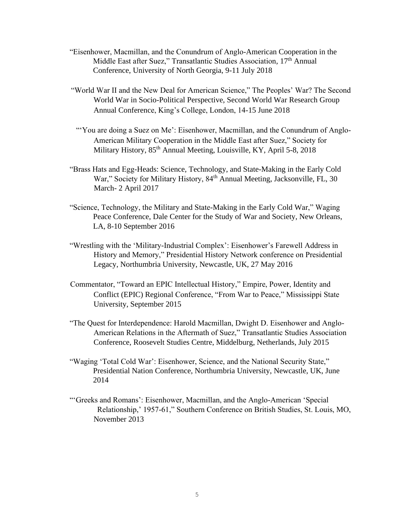- "Eisenhower, Macmillan, and the Conundrum of Anglo-American Cooperation in the Middle East after Suez," Transatlantic Studies Association, 17<sup>th</sup> Annual Conference, University of North Georgia, 9-11 July 2018
- "World War II and the New Deal for American Science," The Peoples' War? The Second World War in Socio-Political Perspective, Second World War Research Group Annual Conference, King's College, London, 14-15 June 2018
- "You are doing a Suez on Me': Eisenhower, Macmillan, and the Conundrum of Anglo-American Military Cooperation in the Middle East after Suez," Society for Military History,  $85<sup>th</sup>$  Annual Meeting, Louisville, KY, April 5-8, 2018
- "Brass Hats and Egg-Heads: Science, Technology, and State-Making in the Early Cold War," Society for Military History, 84<sup>th</sup> Annual Meeting, Jacksonville, FL, 30 March- 2 April 2017
- "Science, Technology, the Military and State-Making in the Early Cold War," Waging Peace Conference, Dale Center for the Study of War and Society, New Orleans, LA, 8-10 September 2016
- "Wrestling with the 'Military-Industrial Complex': Eisenhower's Farewell Address in History and Memory," Presidential History Network conference on Presidential Legacy, Northumbria University, Newcastle, UK, 27 May 2016
- Commentator, "Toward an EPIC Intellectual History," Empire, Power, Identity and Conflict (EPIC) Regional Conference, "From War to Peace," Mississippi State University, September 2015
- "The Quest for Interdependence: Harold Macmillan, Dwight D. Eisenhower and Anglo-American Relations in the Aftermath of Suez," Transatlantic Studies Association Conference, Roosevelt Studies Centre, Middelburg, Netherlands, July 2015
- "Waging 'Total Cold War': Eisenhower, Science, and the National Security State," Presidential Nation Conference, Northumbria University, Newcastle, UK, June 2014
- "'Greeks and Romans': Eisenhower, Macmillan, and the Anglo-American 'Special Relationship,' 1957-61," Southern Conference on British Studies, St. Louis, MO, November 2013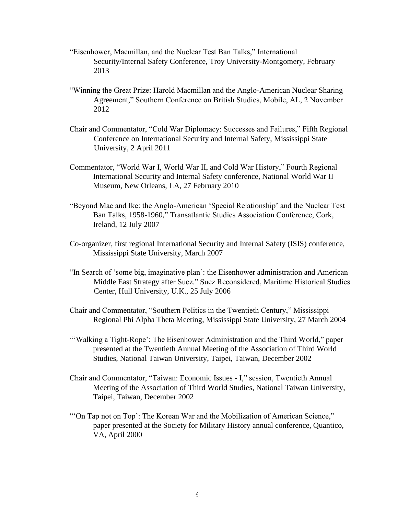- "Eisenhower, Macmillan, and the Nuclear Test Ban Talks," International Security/Internal Safety Conference, Troy University-Montgomery, February 2013
- "Winning the Great Prize: Harold Macmillan and the Anglo-American Nuclear Sharing Agreement," Southern Conference on British Studies, Mobile, AL, 2 November 2012
- Chair and Commentator, "Cold War Diplomacy: Successes and Failures," Fifth Regional Conference on International Security and Internal Safety, Mississippi State University, 2 April 2011
- Commentator, "World War I, World War II, and Cold War History," Fourth Regional International Security and Internal Safety conference, National World War II Museum, New Orleans, LA, 27 February 2010
- "Beyond Mac and Ike: the Anglo-American 'Special Relationship' and the Nuclear Test Ban Talks, 1958-1960," Transatlantic Studies Association Conference, Cork, Ireland, 12 July 2007
- Co-organizer, first regional International Security and Internal Safety (ISIS) conference, Mississippi State University, March 2007
- "In Search of 'some big, imaginative plan': the Eisenhower administration and American Middle East Strategy after Suez." Suez Reconsidered, Maritime Historical Studies Center, Hull University, U.K., 25 July 2006
- Chair and Commentator, "Southern Politics in the Twentieth Century," Mississippi Regional Phi Alpha Theta Meeting, Mississippi State University, 27 March 2004
- "'Walking a Tight-Rope': The Eisenhower Administration and the Third World," paper presented at the Twentieth Annual Meeting of the Association of Third World Studies, National Taiwan University, Taipei, Taiwan, December 2002
- Chair and Commentator, "Taiwan: Economic Issues I," session, Twentieth Annual Meeting of the Association of Third World Studies, National Taiwan University, Taipei, Taiwan, December 2002
- "'On Tap not on Top': The Korean War and the Mobilization of American Science," paper presented at the Society for Military History annual conference, Quantico, VA, April 2000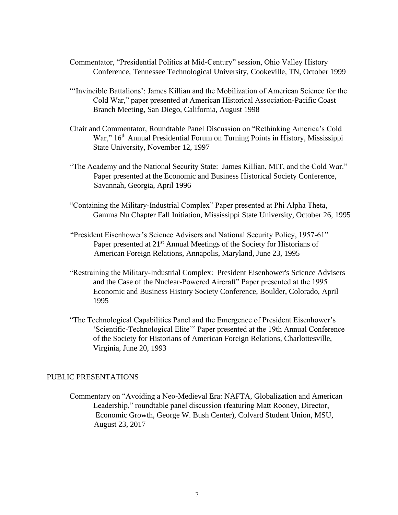- Commentator, "Presidential Politics at Mid-Century" session, Ohio Valley History Conference, Tennessee Technological University, Cookeville, TN, October 1999
- "'Invincible Battalions': James Killian and the Mobilization of American Science for the Cold War," paper presented at American Historical Association-Pacific Coast Branch Meeting, San Diego, California, August 1998
- Chair and Commentator, Roundtable Panel Discussion on "Rethinking America's Cold War," 16<sup>th</sup> Annual Presidential Forum on Turning Points in History, Mississippi State University, November 12, 1997
- "The Academy and the National Security State: James Killian, MIT, and the Cold War." Paper presented at the Economic and Business Historical Society Conference, Savannah, Georgia, April 1996
- "Containing the Military-Industrial Complex" Paper presented at Phi Alpha Theta, Gamma Nu Chapter Fall Initiation, Mississippi State University, October 26, 1995
- "President Eisenhower's Science Advisers and National Security Policy, 1957-61" Paper presented at 21<sup>st</sup> Annual Meetings of the Society for Historians of American Foreign Relations, Annapolis, Maryland, June 23, 1995
- "Restraining the Military-Industrial Complex: President Eisenhower's Science Advisers and the Case of the Nuclear-Powered Aircraft" Paper presented at the 1995 Economic and Business History Society Conference, Boulder, Colorado, April 1995
- "The Technological Capabilities Panel and the Emergence of President Eisenhower's 'Scientific-Technological Elite'" Paper presented at the 19th Annual Conference of the Society for Historians of American Foreign Relations, Charlottesville, Virginia, June 20, 1993

## PUBLIC PRESENTATIONS

Commentary on "Avoiding a Neo-Medieval Era: NAFTA, Globalization and American Leadership," roundtable panel discussion (featuring Matt Rooney, Director, Economic Growth, George W. Bush Center), Colvard Student Union, MSU, August 23, 2017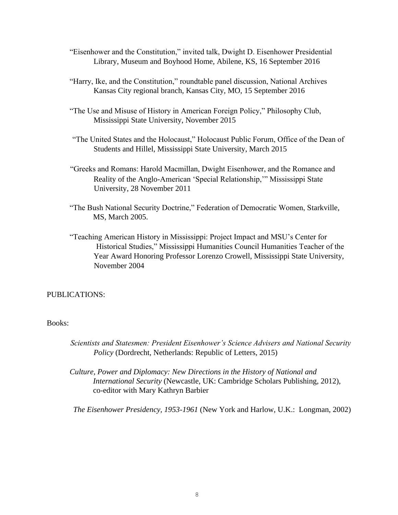- "Eisenhower and the Constitution," invited talk, Dwight D. Eisenhower Presidential Library, Museum and Boyhood Home, Abilene, KS, 16 September 2016
- "Harry, Ike, and the Constitution," roundtable panel discussion, National Archives Kansas City regional branch, Kansas City, MO, 15 September 2016
- "The Use and Misuse of History in American Foreign Policy," Philosophy Club, Mississippi State University, November 2015
- "The United States and the Holocaust," Holocaust Public Forum, Office of the Dean of Students and Hillel, Mississippi State University, March 2015
- "Greeks and Romans: Harold Macmillan, Dwight Eisenhower, and the Romance and Reality of the Anglo-American 'Special Relationship,'" Mississippi State University, 28 November 2011
- "The Bush National Security Doctrine," Federation of Democratic Women, Starkville, MS, March 2005.
- "Teaching American History in Mississippi: Project Impact and MSU's Center for Historical Studies," Mississippi Humanities Council Humanities Teacher of the Year Award Honoring Professor Lorenzo Crowell, Mississippi State University, November 2004

## PUBLICATIONS:

## Books:

- *Scientists and Statesmen: President Eisenhower's Science Advisers and National Security Policy* (Dordrecht, Netherlands: Republic of Letters, 2015)
- *Culture, Power and Diplomacy: New Directions in the History of National and International Security* (Newcastle, UK: Cambridge Scholars Publishing, 2012), co-editor with Mary Kathryn Barbier

*The Eisenhower Presidency, 1953-1961* (New York and Harlow, U.K.: Longman, 2002)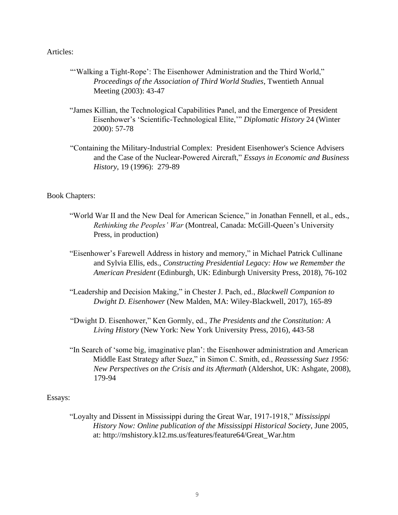## Articles:

- "'Walking a Tight-Rope': The Eisenhower Administration and the Third World," *Proceedings of the Association of Third World Studies*, Twentieth Annual Meeting (2003): 43-47
- "James Killian, the Technological Capabilities Panel, and the Emergence of President Eisenhower's 'Scientific-Technological Elite,'" *Diplomatic History* 24 (Winter 2000): 57-78
- "Containing the Military-Industrial Complex: President Eisenhower's Science Advisers and the Case of the Nuclear-Powered Aircraft," *Essays in Economic and Business History*, 19 (1996): 279-89

#### Book Chapters:

- "World War II and the New Deal for American Science," in Jonathan Fennell, et al., eds., *Rethinking the Peoples' War* (Montreal, Canada: McGill-Queen's University Press, in production)
- "Eisenhower's Farewell Address in history and memory," in Michael Patrick Cullinane and Sylvia Ellis, eds., *Constructing Presidential Legacy: How we Remember the American President* (Edinburgh, UK: Edinburgh University Press, 2018), 76-102
- "Leadership and Decision Making," in Chester J. Pach, ed., *Blackwell Companion to Dwight D. Eisenhower* (New Malden, MA: Wiley-Blackwell, 2017), 165-89
- "Dwight D. Eisenhower," Ken Gormly, ed., *The Presidents and the Constitution: A Living History* (New York: New York University Press, 2016), 443-58
- "In Search of 'some big, imaginative plan': the Eisenhower administration and American Middle East Strategy after Suez," in Simon C. Smith, ed., *Reassessing Suez 1956: New Perspectives on the Crisis and its Aftermath* (Aldershot, UK: Ashgate, 2008), 179-94

### Essays:

"Loyalty and Dissent in Mississippi during the Great War, 1917-1918," *Mississippi History Now: Online publication of the Mississippi Historical Society*, June 2005, at: http://mshistory.k12.ms.us/features/feature64/Great\_War.htm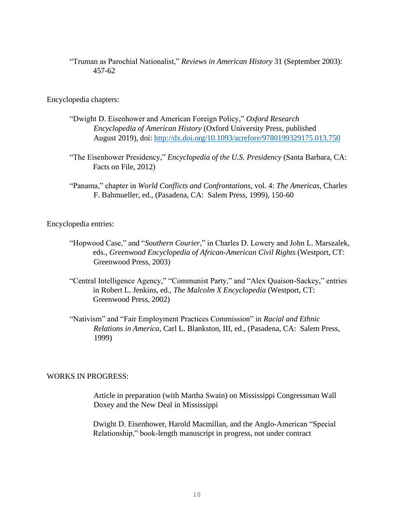"Truman as Parochial Nationalist," *Reviews in American History* 31 (September 2003): 457-62

Encyclopedia chapters:

- "Dwight D. Eisenhower and American Foreign Policy," *Oxford Research Encyclopedia of American History* (Oxford University Press, published August 2019), doi:<http://dx.doi.org/10.1093/acrefore/9780199329175.013.750>
- "The Eisenhower Presidency," *Encyclopedia of the U.S. Presidency* (Santa Barbara, CA: Facts on File, 2012)
- "Panama," chapter in *World Conflicts and Confrontations*, vol. 4: *The Americas*, Charles F. Bahmueller, ed., (Pasadena, CA: Salem Press, 1999), 150-60

Encyclopedia entries:

- "Hopwood Case," and "*Southern Courier*," in Charles D. Lowery and John L. Marszalek, eds., *Greenwood Encyclopedia of African-American Civil Rights* (Westport, CT: Greenwood Press, 2003)
- "Central Intelligence Agency," "Communist Party," and "Alex Quaison-Sackey," entries in Robert L. Jenkins, ed., *The Malcolm X Encyclopedia* (Westport, CT: Greenwood Press, 2002)
- "Nativism" and "Fair Employment Practices Commission" in *Racial and Ethnic Relations in America,* Carl L. Blankston, III, ed., (Pasadena, CA: Salem Press, 1999)

## WORKS IN PROGRESS:

Article in preparation (with Martha Swain) on Mississippi Congressman Wall Doxey and the New Deal in Mississippi

Dwight D. Eisenhower, Harold Macmillan, and the Anglo-American "Special Relationship," book-length manuscript in progress, not under contract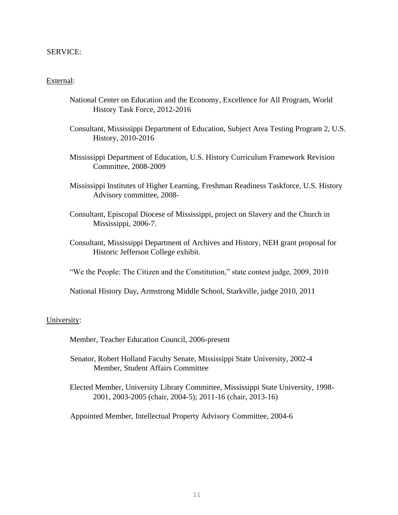## SERVICE:

## External:

- National Center on Education and the Economy, Excellence for All Program, World History Task Force, 2012-2016
- Consultant, Mississippi Department of Education, Subject Area Testing Program 2, U.S. History, 2010-2016
- Mississippi Department of Education, U.S. History Curriculum Framework Revision Committee, 2008-2009
- Mississippi Institutes of Higher Learning, Freshman Readiness Taskforce, U.S. History Advisory committee, 2008-
- Consultant, Episcopal Diocese of Mississippi, project on Slavery and the Church in Mississippi, 2006-7.
- Consultant, Mississippi Department of Archives and History, NEH grant proposal for Historic Jefferson College exhibit.
- "We the People: The Citizen and the Constitution," state contest judge, 2009, 2010
- National History Day, Armstrong Middle School, Starkville, judge 2010, 2011

#### University:

Member, Teacher Education Council, 2006-present

- Senator, Robert Holland Faculty Senate, Mississippi State University, 2002-4 Member, Student Affairs Committee
- Elected Member, University Library Committee, Mississippi State University, 1998- 2001, 2003-2005 (chair, 2004-5); 2011-16 (chair, 2013-16)

Appointed Member, Intellectual Property Advisory Committee, 2004-6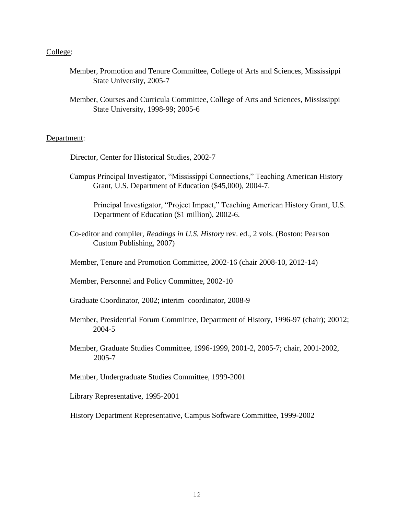## College:

- Member, Promotion and Tenure Committee, College of Arts and Sciences, Mississippi State University, 2005-7
- Member, Courses and Curricula Committee, College of Arts and Sciences, Mississippi State University, 1998-99; 2005-6

## Department:

- Director, Center for Historical Studies, 2002-7
- Campus Principal Investigator, "Mississippi Connections," Teaching American History Grant, U.S. Department of Education (\$45,000), 2004-7.

Principal Investigator, "Project Impact," Teaching American History Grant, U.S. Department of Education (\$1 million), 2002-6.

- Co-editor and compiler, *Readings in U.S. History* rev. ed., 2 vols. (Boston: Pearson Custom Publishing, 2007)
- Member, Tenure and Promotion Committee, 2002-16 (chair 2008-10, 2012-14)

Member, Personnel and Policy Committee, 2002-10

- Graduate Coordinator, 2002; interim coordinator, 2008-9
- Member, Presidential Forum Committee, Department of History, 1996-97 (chair); 20012; 2004-5
- Member, Graduate Studies Committee, 1996-1999, 2001-2, 2005-7; chair, 2001-2002, 2005-7

Member, Undergraduate Studies Committee, 1999-2001

Library Representative, 1995-2001

History Department Representative, Campus Software Committee, 1999-2002